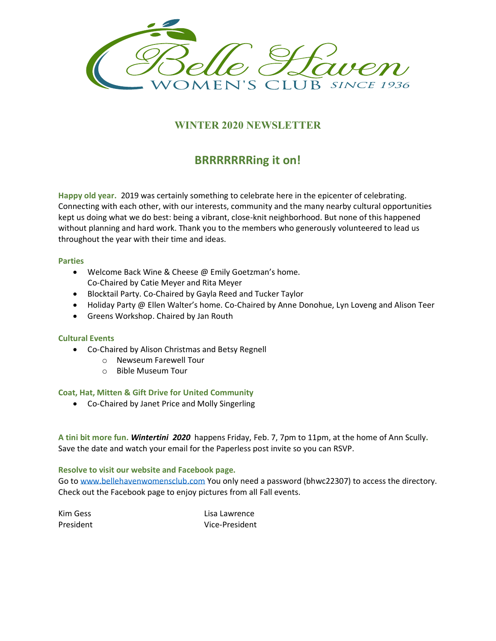

### **WINTER 2020 NEWSLETTER**

# **BRRRRRRRing it on!**

**Happy old year.** 2019 was certainly something to celebrate here in the epicenter of celebrating. Connecting with each other, with our interests, community and the many nearby cultural opportunities kept us doing what we do best: being a vibrant, close-knit neighborhood. But none of this happened without planning and hard work. Thank you to the members who generously volunteered to lead us throughout the year with their time and ideas.

### **Parties**

- Welcome Back Wine & Cheese @ Emily Goetzman's home. Co-Chaired by Catie Meyer and Rita Meyer
- Blocktail Party. Co-Chaired by Gayla Reed and Tucker Taylor
- Holiday Party @ Ellen Walter's home. Co-Chaired by Anne Donohue, Lyn Loveng and Alison Teer
- Greens Workshop. Chaired by Jan Routh

#### **Cultural Events**

- Co-Chaired by Alison Christmas and Betsy Regnell
	- o Newseum Farewell Tour
	- o Bible Museum Tour

### **Coat, Hat, Mitten & Gift Drive for United Community**

• Co-Chaired by Janet Price and Molly Singerling

**A tini bit more fun.** *Wintertini 2020* happens Friday, Feb. 7, 7pm to 11pm, at the home of Ann Scully**.**  Save the date and watch your email for the Paperless post invite so you can RSVP.

#### **Resolve to visit our website and Facebook page.**

Go to [www.bellehavenwomensclub.com](http://www.bellehavenwomensclub.com/) You only need a password (bhwc22307) to access the directory. Check out the Facebook page to enjoy pictures from all Fall events.

Kim Gess Lisa Lawrence President Vice-President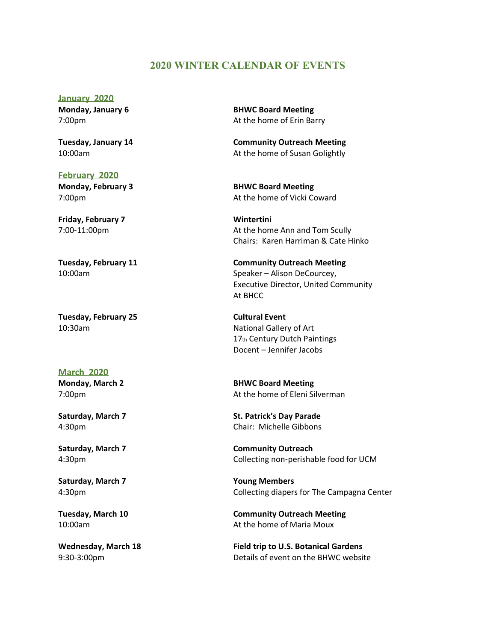### **2020 WINTER CALENDAR OF EVENTS**

**January 2020**

**February 2020 Monday, February 3 BHWC Board Meeting** 

**Friday, February 7 Wintertini**

**Tuesday, February 25 Cultural Event** 

**March 2020**

**Saturday, March 7 Young Members**

**Monday, January 6 BHWC Board Meeting** 7:00pm At the home of Erin Barry

**Tuesday, January 14 Community Outreach Meeting** 10:00am At the home of Susan Golightly

7:00pm At the home of Vicki Coward

7:00-11:00pm At the home Ann and Tom Scully Chairs: Karen Harriman & Cate Hinko

**Tuesday, February 11 Community Outreach Meeting** 10:00am Speaker – Alison DeCourcey, Executive Director, United Community At BHCC

10:30am National Gallery of Art 17th Century Dutch Paintings Docent – Jennifer Jacobs

**Monday, March 2 BHWC Board Meeting** 7:00pm At the home of Eleni Silverman

**Saturday, March 7 St. Patrick's Day Parade** 4:30pm Chair: Michelle Gibbons

**Saturday, March 7 Community Outreach** 4:30pm Collecting non-perishable food for UCM

4:30pm Collecting diapers for The Campagna Center

**Tuesday, March 10 Community Outreach Meeting** 10:00am At the home of Maria Moux

**Wednesday, March 18 Field trip to U.S. Botanical Gardens** 9:30-3:00pm Details of event on the BHWC website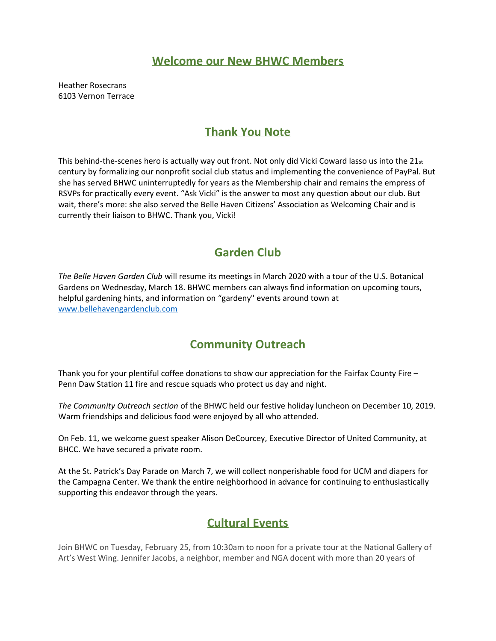### **Welcome our New BHWC Members**

Heather Rosecrans 6103 Vernon Terrace

# **Thank You Note**

This behind-the-scenes hero is actually way out front. Not only did Vicki Coward lasso us into the 21st century by formalizing our nonprofit social club status and implementing the convenience of PayPal. But she has served BHWC uninterruptedly for years as the Membership chair and remains the empress of RSVPs for practically every event. "Ask Vicki" is the answer to most any question about our club. But wait, there's more: she also served the Belle Haven Citizens' Association as Welcoming Chair and is currently their liaison to BHWC. Thank you, Vicki!

# **Garden Club**

*The Belle Haven Garden Club* will resume its meetings in March 2020 with a tour of the U.S. Botanical Gardens on Wednesday, March 18. BHWC members can always find information on upcoming tours, helpful gardening hints, and information on "gardeny" events around town at [www.bellehavengardenclub.com](http://www.bellehavengardenclub.com/)

# **Community Outreach**

Thank you for your plentiful coffee donations to show our appreciation for the Fairfax County Fire – Penn Daw Station 11 fire and rescue squads who protect us day and night.

*The Community Outreach section* of the BHWC held our festive holiday luncheon on December 10, 2019. Warm friendships and delicious food were enjoyed by all who attended.

On Feb. 11, we welcome guest speaker Alison DeCourcey, Executive Director of United Community, at BHCC. We have secured a private room.

At the St. Patrick's Day Parade on March 7, we will collect nonperishable food for UCM and diapers for the Campagna Center. We thank the entire neighborhood in advance for continuing to enthusiastically supporting this endeavor through the years.

# **Cultural Events**

Join BHWC on Tuesday, February 25, from 10:30am to noon for a private tour at the National Gallery of Art's West Wing. Jennifer Jacobs, a neighbor, member and NGA docent with more than 20 years of